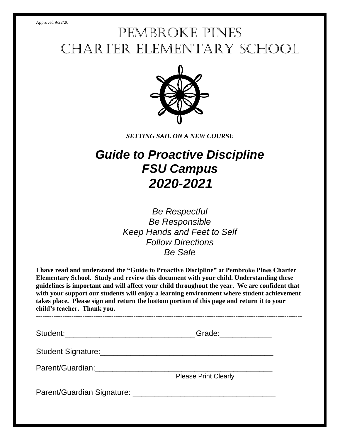# Pembroke Pines Charter Elementary School



*SETTING SAIL ON A NEW COURSE*

# *Guide to Proactive Discipline FSU Campus 2020-2021*

*Be Respectful Be Responsible Keep Hands and Feet to Self Follow Directions Be Safe*

**I have read and understand the "Guide to Proactive Discipline" at Pembroke Pines Charter Elementary School. Study and review this document with your child. Understanding these guidelines is important and will affect your child throughout the year. We are confident that with your support our students will enjoy a learning environment where student achievement takes place. Please sign and return the bottom portion of this page and return it to your child's teacher. Thank you.**

**------------------------------------------------------------------------------------------------------------------------**

Student:\_\_\_\_\_\_\_\_\_\_\_\_\_\_\_\_\_\_\_\_\_\_\_\_\_\_\_\_\_\_ Grade:\_\_\_\_\_\_\_\_\_\_\_\_

Student Signature:\_\_\_\_\_\_\_\_\_\_\_\_\_\_\_\_\_\_\_\_\_\_\_\_\_\_\_\_\_\_\_\_\_\_\_\_\_\_\_\_

Parent/Guardian:\_\_\_\_\_\_\_\_\_\_\_\_\_\_\_\_\_\_\_\_\_\_\_\_\_\_\_\_\_\_\_\_\_\_\_\_\_\_\_\_\_

Please Print Clearly

Parent/Guardian Signature: \_\_\_\_\_\_\_\_\_\_\_\_\_\_\_\_\_\_\_\_\_\_\_\_\_\_\_\_\_\_\_\_\_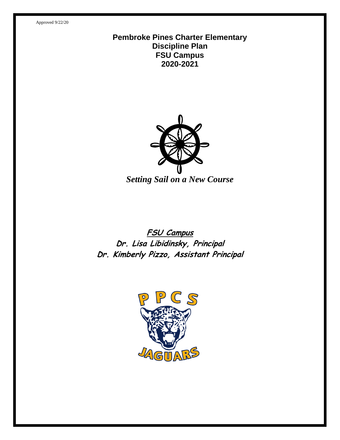#### **Pembroke Pines Charter Elementary Discipline Plan FSU Campus 2020-2021**



*Setting Sail on a New Course*

# **FSU Campus Dr. Lisa Libidinsky, Principal Dr. Kimberly Pizzo, Assistant Principal**

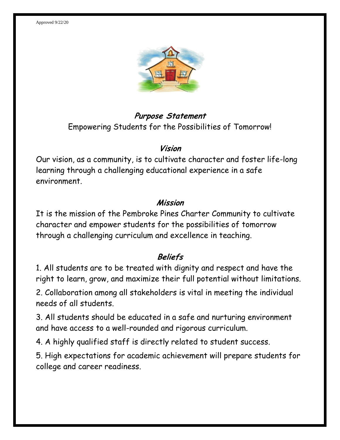

# **Purpose Statement** Empowering Students for the Possibilities of Tomorrow!

#### **Vision**

Our vision, as a community, is to cultivate character and foster life-long learning through a challenging educational experience in a safe environment.

#### **Mission**

It is the mission of the Pembroke Pines Charter Community to cultivate character and empower students for the possibilities of tomorrow through a challenging curriculum and excellence in teaching.

### **Beliefs**

1. All students are to be treated with dignity and respect and have the right to learn, grow, and maximize their full potential without limitations.

2. Collaboration among all stakeholders is vital in meeting the individual needs of all students.

3. All students should be educated in a safe and nurturing environment and have access to a well-rounded and rigorous curriculum.

4. A highly qualified staff is directly related to student success.

5. High expectations for academic achievement will prepare students for college and career readiness.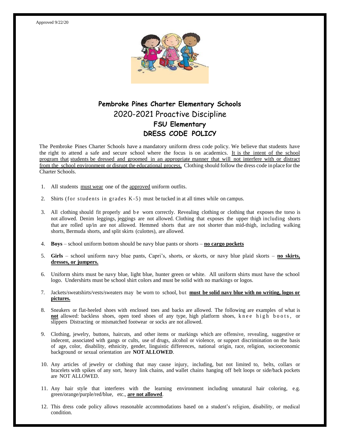

#### **Pembroke Pines Charter Elementary Schools** 2020-2021 Proactive Discipline **FSU Elementary DRESS CODE POLICY**

The Pembroke Pines Charter Schools have a mandatory uniform dress code policy. We believe that students have the right to attend a safe and secure school where the focus is on academics. It is the intent of the school program that students be dressed and groomed in an appropriate manner that will not interfere with or distract from the school environment or disrupt the educational process. Clothing should follow the dress code in place for the Charter Schools.

- 1. All students must wear one of the approved uniform outfits.
- 2. Shirts (for students in grades  $K-5$ ) must be tucked in at all times while on campus.
- 3. All clothing should fit properly and be worn correctly. Revealing clothing or clothing that exposes the torso is not allowed. Denim leggings, jeggings are not allowed. Clothing that exposes the upper thigh including shorts that are rolled up/in are not allowed. Hemmed shorts that are not shorter than mid-thigh, including walking shorts, Bermuda shorts, and split skirts (culottes), are allowed.
- 4. **Boys** school uniform bottom should be navy blue pants or shorts **no cargo pockets**
- 5. **Girls** school uniform navy blue pants, Capri's, shorts, or skorts, or navy blue plaid skorts **no skirts, dresses, or jumpers.**
- 6. Uniform shirts must be navy blue, light blue, hunter green or white. All uniform shirts must have the school logo. Undershirts must be school shirt colors and must be solid with no markings or logos.
- 7. Jackets/sweatshirts/vests/sweaters may be worn to school, but **must be solid navy blue with no writing, logos or pictures.**
- 8. Sneakers or flat-heeled shoes with enclosed toes and backs are allowed. The following are examples of what is not allowed: backless shoes, open toed shoes of any type, high platform shoes, knee high boots, or slippers Distracting or mismatched footwear or socks are not allowed.
- 9. Clothing, jewelry, buttons, haircuts, and other items or markings which are offensive, revealing, suggestive or indecent, associated with gangs or cults, use of drugs, alcohol or violence, or support discrimination on the basis of age, color, disability, ethnicity, gender, linguistic differences, national origin, race, religion, socioeconomic background or sexual orientation are **NOT ALLOWED**.
- 10. Any articles of jewelry or clothing that may cause injury, including, but not limited to, belts, collars or bracelets with spikes of any sort, heavy link chains, and wallet chains hanging off belt loops or side/back pockets are NOT ALLOWED.
- 11. Any hair style that interferes with the learning environment including unnatural hair coloring, e.g. green/orange/purple/red/blue, etc., **are not allowed**.
- 12. This dress code policy allows reasonable accommodations based on a student's religion, disability, or medical condition.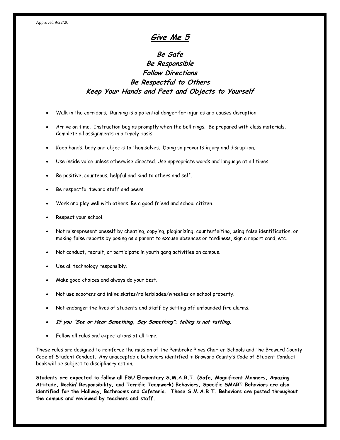#### **Give Me 5**

#### **Be Safe Be Responsible Follow Directions Be Respectful to Others Keep Your Hands and Feet and Objects to Yourself**

- Walk in the corridors. Running is a potential danger for injuries and causes disruption.
- Arrive on time. Instruction begins promptly when the bell rings. Be prepared with class materials. Complete all assignments in a timely basis.
- Keep hands, body and objects to themselves. Doing so prevents injury and disruption.
- Use inside voice unless otherwise directed. Use appropriate words and language at all times.
- Be positive, courteous, helpful and kind to others and self.
- Be respectful toward staff and peers.
- Work and play well with others. Be a good friend and school citizen.
- Respect your school.
- Not misrepresent oneself by cheating, copying, plagiarizing, counterfeiting, using false identification, or making false reports by posing as a parent to excuse absences or tardiness, sign a report card, etc.
- Not conduct, recruit, or participate in youth gang activities on campus.
- Use all technology responsibly.
- Make good choices and always do your best.
- Not use scooters and inline skates/rollerblades/wheelies on school property.
- Not endanger the lives of students and staff by setting off unfounded fire alarms.
- **If you "See or Hear Something, Say Something"; telling is not tattling.**
- Follow all rules and expectations at all time.

These rules are designed to reinforce the mission of the Pembroke Pines Charter Schools and the Broward County Code of Student Conduct. Any unacceptable behaviors identified in Broward County's Code of Student Conduct book will be subject to disciplinary action.

**Students are expected to follow all FSU Elementary S.M.A.R.T. (Safe, Magnificent Manners, Amazing Attitude, Rockin' Responsibility, and Terrific Teamwork) Behaviors, Specific SMART Behaviors are also identified for the Hallway, Bathrooms and Cafeteria. These S.M.A.R.T. Behaviors are posted throughout the campus and reviewed by teachers and staff.**